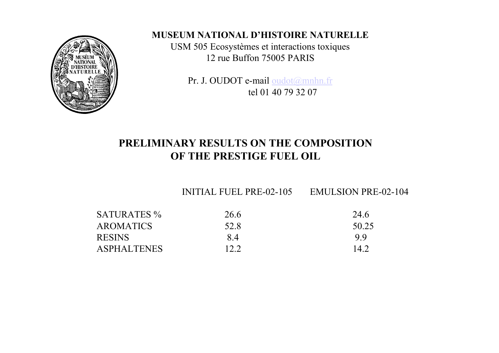

#### **MUSEUM NATIONAL D'HISTOIRE NATURELLE**

USM 505 Ecosystèmes et interactions toxiques 12 rue Buffon 75005 PARIS

Pr. J. OUDOT e-mail oudot@mnhn.fr tel 01 40 79 32 07

#### **PRELIMINARY RESULTS ON THE COMPOSITIONOF THE PRESTIGE FUEL OIL**

INITIAL FUEL PRE-02-105 EMULSION PRE-02-104

| <b>SATURATES</b> % | 26.6 | 24.6  |
|--------------------|------|-------|
| <b>AROMATICS</b>   | 52.8 | 50.25 |
| <b>RESINS</b>      | 84   | 99    |
| <b>ASPHALTENES</b> | 12.2 | 14 2  |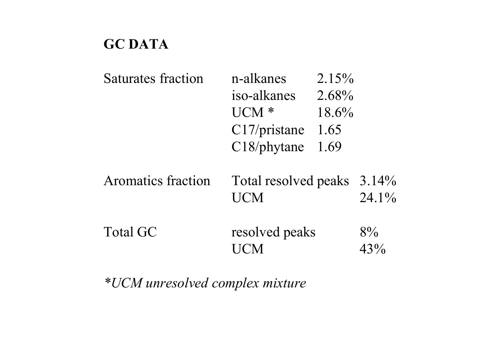#### **GC DATA**

| <b>Saturates fraction</b> | n-alkanes<br>iso-alkanes<br>$UCM*$<br>C17/pristance<br>$C18$ /phytane | $2.15\%$<br>2.68%<br>18.6%<br>1.65<br>1.69 |           |
|---------------------------|-----------------------------------------------------------------------|--------------------------------------------|-----------|
| <b>Aromatics fraction</b> | Total resolved peaks 3.14%<br><b>UCM</b>                              |                                            | $24.1\%$  |
| <b>Total GC</b>           | resolved peaks                                                        |                                            | 8%<br>43% |

*\*UCM unresolved complex mixture*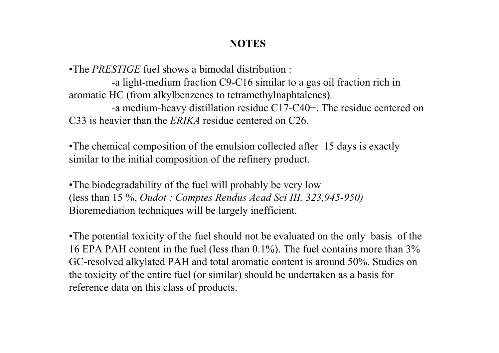#### **NOTES**

•The *PRESTIGE* fuel shows a bimodal distribution :

-a light-medium fraction C9-C16 similar to a gas oil fraction rich in aromatic HC (from alkylbenzenes to tetramethylnaphtalenes) -a medium-heavy distillation residue C17-C40+. The residue centered on C33 is heavier than the *ERIKA* residue centered on C26.

• The chemical composition of the emulsion collected after 15 days is exactly similar to the initial composition of the refinery product.

• The biodegradability of the fuel will probably be very low (less than 15 %, *Oudot : Comptes Rendus Acad Sci III, 323,945-950)* Bioremediation techniques will be largely inefficient.

• The potential toxicity of the fuel should not be evaluated on the only basis of the 16 EPA PAH content in the fuel (less than 0.1%). The fuel contains more than 3% GC-resolved alkylated PAH and total aromatic content is around 50%. Studies on the toxicity of the entire fuel (or similar) should be undertaken as a basis for reference data on this class of products.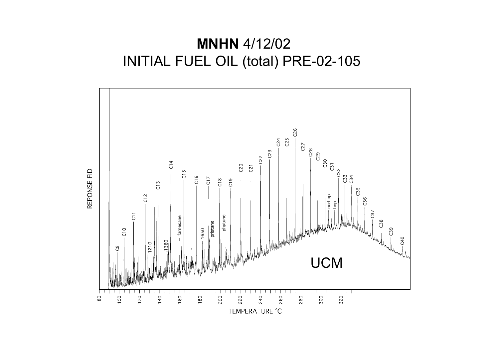#### **MNHN** 4/12/02 INITIAL FUEL OIL (total) PRE-02-105

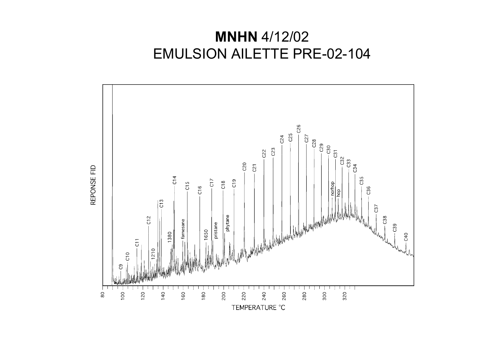# **MNHN** 4/12/02 EMULSION AILETTE PRE-02-104

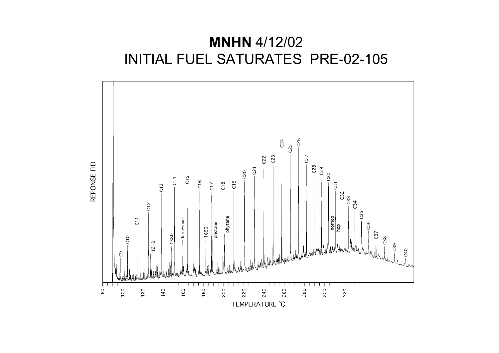# **MNHN** 4/12/02 INITIAL FUEL SATURATES PRE-02-105